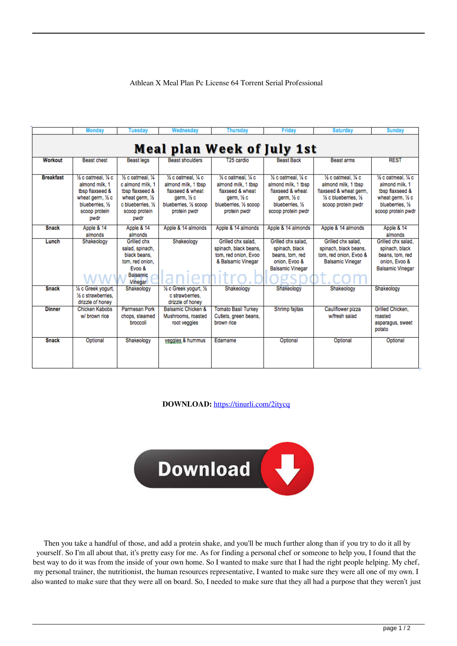|                                   | <b>Monday</b>                          | Tuesday                    | Wednesday                          | <b>Thursday</b>                     | <b>Friday</b>           | <b>Saturday</b>                    | <b>Sunday</b>              |
|-----------------------------------|----------------------------------------|----------------------------|------------------------------------|-------------------------------------|-------------------------|------------------------------------|----------------------------|
|                                   |                                        |                            |                                    |                                     |                         |                                    |                            |
|                                   |                                        |                            |                                    |                                     |                         |                                    |                            |
| <b>Meal plan Week of July 1st</b> |                                        |                            |                                    |                                     |                         |                                    |                            |
| <b>Workout</b>                    | <b>Beast chest</b>                     | <b>Beast legs</b>          | <b>Beast shoulders</b>             | T25 cardio                          | <b>Beast Back</b>       | <b>Beast arms</b>                  | <b>REST</b>                |
|                                   |                                        |                            |                                    |                                     |                         |                                    |                            |
| <b>Breakfast</b>                  | 1/2 c oatmeal, 1/4 c                   | 1/2 c oatmeal, 1/4         | 1/2 c oatmeal, 1/4 c               | 1/2 c oatmeal, 1/4 c                | 1/2 c oatmeal, 1/4 c    | 1/2 c oatmeal, 1/4 c               | 1/2 c oatmeal, 1/4 c       |
|                                   | almond milk, 1                         | c almond milk. 1           | almond milk, 1 tbsp                | almond milk, 1 tbsp                 | almond milk, 1 tbsp     | almond milk, 1 tbsp                | almond milk, 1             |
|                                   | tbsp flaxseed &                        | tbsp flaxseed &            | flaxseed & wheat                   | flaxseed & wheat                    | flaxseed & wheat        | flaxseed & wheat germ.             | tbsp flaxseed &            |
|                                   | wheat germ, 1/2 c                      | wheat germ, 1/2            | germ, ½ c                          | germ, ½ c                           | germ, 1/2 c             | 1/2 c blueberries, 1/2             | wheat germ, 1/2 c          |
|                                   | blueberries, 1/2                       | c blueberries, 1/2         | blueberries, 1/2 scoop             | blueberries, 1/2 scoop              | blueberries, 1/2        | scoop protein pwdr                 | blueberries, 1/2           |
|                                   | scoop protein                          | scoop protein              | protein pwdr                       | protein pwdr                        | scoop protein pwdr      |                                    | scoop protein pwdr         |
|                                   | pwdr                                   | pwdr                       |                                    |                                     |                         |                                    |                            |
| <b>Snack</b>                      | Apple & 14                             | Apple & 14                 | Apple & 14 almonds                 | Apple & 14 almonds                  | Apple & 14 almonds      | Apple & 14 almonds                 | Apple & 14                 |
|                                   | almonds                                | almonds                    |                                    |                                     |                         |                                    | almonds                    |
| Lunch                             | Shakeology                             | Grilled chx                | Shakeology                         | Grilled chx salad.                  | Grilled chx salad.      | Grilled chx salad.                 | Grilled chx salad.         |
|                                   |                                        | salad, spinach,            |                                    | spinach, black beans,               | spinach, black          | spinach, black beans,              | spinach, black             |
|                                   |                                        | black beans,               |                                    | tom, red onion, Evoo                | beans, tom, red         | tom, red onion, Evoo &             | beans, tom, red            |
|                                   |                                        | tom, red onion,            |                                    | & Balsamic Vinegar                  | onion, Evoo &           | <b>Balsamic Vinegar</b>            | onion, Evoo &              |
|                                   |                                        | Evoo &                     |                                    |                                     | <b>Balsamic Vinegar</b> |                                    | <b>Balsamic Vinegar</b>    |
|                                   | WW                                     | <b>Balsamic</b>            |                                    |                                     |                         |                                    |                            |
|                                   |                                        | Vinegar                    |                                    |                                     |                         |                                    |                            |
| <b>Snack</b>                      | 1/2 c Greek yogurt,                    | Shakeology                 | 1/2 c Greek yogurt, 1/2            | Shakeology                          | Shakeology              | Shakeology                         | Shakeology                 |
|                                   | 1/2 c strawberries.                    |                            | c strawberries.                    |                                     |                         |                                    |                            |
|                                   | drizzle of honey                       | <b>Parmesan Pork</b>       | drizzle of honey                   |                                     |                         |                                    |                            |
| <b>Dinner</b>                     | <b>Chicken Kabobs</b><br>w/ brown rice |                            | <b>Balsamic Chicken &amp;</b>      | <b>Tomato Basil Turkey</b>          | Shrimp fajitas          | Cauliflower pizza<br>w/fresh salad | Grilled Chicken.           |
|                                   |                                        | chops, steamed<br>broccoli | Mushrooms, roasted<br>root veggies | Cutlets, green beans,<br>brown rice |                         |                                    | roasted                    |
|                                   |                                        |                            |                                    |                                     |                         |                                    | asparagus, sweet<br>potato |
|                                   |                                        |                            |                                    |                                     |                         |                                    |                            |
| <b>Snack</b>                      | Optional                               | Shakeology                 | veggies & hummus                   | Edamame                             | Optional                | Optional                           | Optional                   |
|                                   |                                        |                            |                                    |                                     |                         |                                    |                            |
|                                   |                                        |                            |                                    |                                     |                         |                                    |                            |
|                                   |                                        |                            |                                    |                                     |                         |                                    |                            |

## Athlean X Meal Plan Pc License 64 Torrent Serial Professional

**DOWNLOAD:** <https://tinurli.com/2itycq>



 Then you take a handful of those, and add a protein shake, and you'll be much further along than if you try to do it all by yourself. So I'm all about that, it's pretty easy for me. As for finding a personal chef or someone to help you, I found that the best way to do it was from the inside of your own home. So I wanted to make sure that I had the right people helping. My chef, my personal trainer, the nutritionist, the human resources representative, I wanted to make sure they were all one of my own. I also wanted to make sure that they were all on board. So, I needed to make sure that they all had a purpose that they weren't just